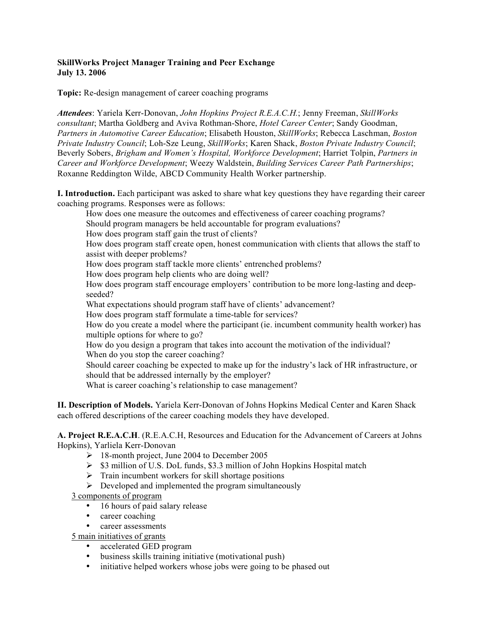#### **SkillWorks Project Manager Training and Peer Exchange July 13. 2006**

**Topic:** Re-design management of career coaching programs

*Attendees*: Yariela Kerr-Donovan, *John Hopkins Project R.E.A.C.H.*; Jenny Freeman, *SkillWorks consultant*; Martha Goldberg and Aviva Rothman-Shore, *Hotel Career Center*; Sandy Goodman, *Partners in Automotive Career Education*; Elisabeth Houston, *SkillWorks*; Rebecca Laschman, *Boston Private Industry Council*; Loh-Sze Leung, *SkillWorks*; Karen Shack, *Boston Private Industry Council*; Beverly Sobers, *Brigham and Women's Hospital, Workforce Development*; Harriet Tolpin, *Partners in Career and Workforce Development*; Weezy Waldstein, *Building Services Career Path Partnerships*; Roxanne Reddington Wilde, ABCD Community Health Worker partnership.

**I. Introduction.** Each participant was asked to share what key questions they have regarding their career coaching programs. Responses were as follows:

How does one measure the outcomes and effectiveness of career coaching programs? Should program managers be held accountable for program evaluations? How does program staff gain the trust of clients? How does program staff create open, honest communication with clients that allows the staff to assist with deeper problems? How does program staff tackle more clients' entrenched problems? How does program help clients who are doing well? How does program staff encourage employers' contribution to be more long-lasting and deepseeded? What expectations should program staff have of clients' advancement? How does program staff formulate a time-table for services? How do you create a model where the participant (ie. incumbent community health worker) has multiple options for where to go? How do you design a program that takes into account the motivation of the individual? When do you stop the career coaching? Should career coaching be expected to make up for the industry's lack of HR infrastructure, or should that be addressed internally by the employer?

What is career coaching's relationship to case management?

**II. Description of Models.** Yariela Kerr-Donovan of Johns Hopkins Medical Center and Karen Shack each offered descriptions of the career coaching models they have developed.

**A. Project R.E.A.C.H**. (R.E.A.C.H, Resources and Education for the Advancement of Careers at Johns Hopkins), Yarliela Kerr-Donovan

- 18-month project, June 2004 to December 2005
- $\geq$  \$3 million of U.S. DoL funds, \$3.3 million of John Hopkins Hospital match
- $\triangleright$  Train incumbent workers for skill shortage positions
- $\triangleright$  Developed and implemented the program simultaneously
- 3 components of program
	- 16 hours of paid salary release
	- career coaching
	- career assessments
- 5 main initiatives of grants
	- accelerated GED program
	- business skills training initiative (motivational push)
	- initiative helped workers whose jobs were going to be phased out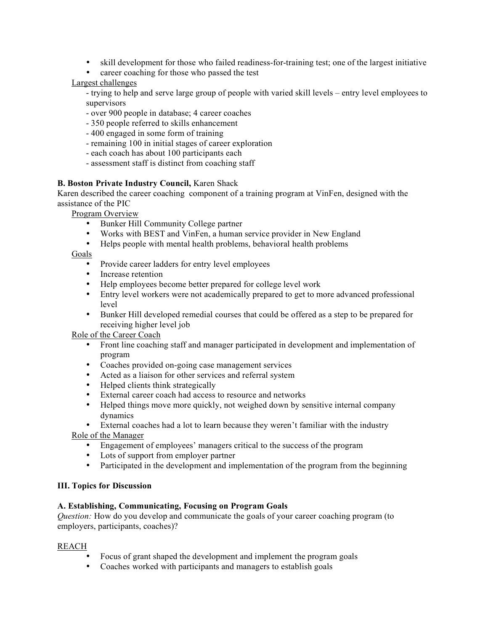- skill development for those who failed readiness-for-training test; one of the largest initiative
- career coaching for those who passed the test

# Largest challenges

- trying to help and serve large group of people with varied skill levels – entry level employees to supervisors

- over 900 people in database; 4 career coaches
- 350 people referred to skills enhancement
- 400 engaged in some form of training
- remaining 100 in initial stages of career exploration
- each coach has about 100 participants each
- assessment staff is distinct from coaching staff

## **B. Boston Private Industry Council,** Karen Shack

Karen described the career coaching component of a training program at VinFen, designed with the assistance of the PIC

Program Overview

- Bunker Hill Community College partner
- Works with BEST and VinFen, a human service provider in New England<br>• Helps people with mental health problems, behavioral health problems
- Helps people with mental health problems, behavioral health problems

Goals

- Provide career ladders for entry level employees
- Increase retention
- Help employees become better prepared for college level work
- Entry level workers were not academically prepared to get to more advanced professional level
- Bunker Hill developed remedial courses that could be offered as a step to be prepared for receiving higher level job

Role of the Career Coach

- Front line coaching staff and manager participated in development and implementation of program
- Coaches provided on-going case management services
- Acted as a liaison for other services and referral system
- Helped clients think strategically
- External career coach had access to resource and networks
- Helped things move more quickly, not weighed down by sensitive internal company dynamics

• External coaches had a lot to learn because they weren't familiar with the industry Role of the Manager

- Engagement of employees' managers critical to the success of the program
- Lots of support from employer partner
- Participated in the development and implementation of the program from the beginning

#### **III. Topics for Discussion**

# **A. Establishing, Communicating, Focusing on Program Goals**

*Question:* How do you develop and communicate the goals of your career coaching program (to employers, participants, coaches)?

#### REACH

- Focus of grant shaped the development and implement the program goals
- Coaches worked with participants and managers to establish goals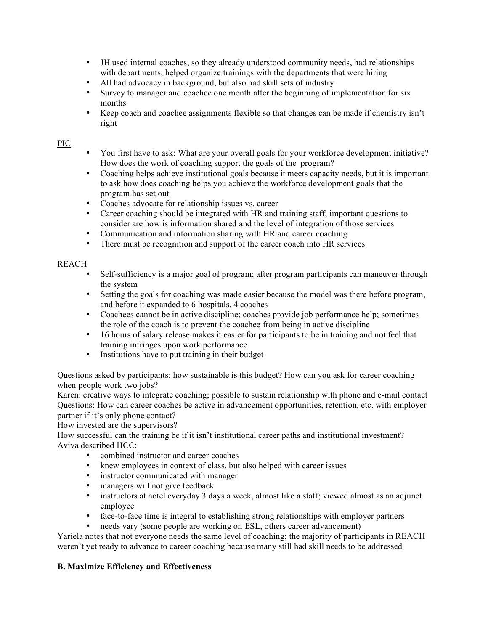- JH used internal coaches, so they already understood community needs, had relationships with departments, helped organize trainings with the departments that were hiring
- All had advocacy in background, but also had skill sets of industry
- Survey to manager and coachee one month after the beginning of implementation for six months
- Keep coach and coachee assignments flexible so that changes can be made if chemistry isn't right

## PIC

- You first have to ask: What are your overall goals for your workforce development initiative? How does the work of coaching support the goals of the program?
- Coaching helps achieve institutional goals because it meets capacity needs, but it is important to ask how does coaching helps you achieve the workforce development goals that the program has set out
- Coaches advocate for relationship issues vs. career
- Career coaching should be integrated with HR and training staff; important questions to consider are how is information shared and the level of integration of those services
- Communication and information sharing with HR and career coaching
- There must be recognition and support of the career coach into HR services

## REACH

- Self-sufficiency is a major goal of program; after program participants can maneuver through the system
- Setting the goals for coaching was made easier because the model was there before program, and before it expanded to 6 hospitals, 4 coaches
- Coachees cannot be in active discipline; coaches provide job performance help; sometimes the role of the coach is to prevent the coachee from being in active discipline
- 16 hours of salary release makes it easier for participants to be in training and not feel that training infringes upon work performance
- Institutions have to put training in their budget

Questions asked by participants: how sustainable is this budget? How can you ask for career coaching when people work two jobs?

Karen: creative ways to integrate coaching; possible to sustain relationship with phone and e-mail contact Questions: How can career coaches be active in advancement opportunities, retention, etc. with employer partner if it's only phone contact?

How invested are the supervisors?

How successful can the training be if it isn't institutional career paths and institutional investment? Aviva described HCC:

- combined instructor and career coaches
- knew employees in context of class, but also helped with career issues
- instructor communicated with manager
- managers will not give feedback
- instructors at hotel everyday 3 days a week, almost like a staff; viewed almost as an adjunct employee
- face-to-face time is integral to establishing strong relationships with employer partners
	- needs vary (some people are working on ESL, others career advancement)

Yariela notes that not everyone needs the same level of coaching; the majority of participants in REACH weren't yet ready to advance to career coaching because many still had skill needs to be addressed

#### **B. Maximize Efficiency and Effectiveness**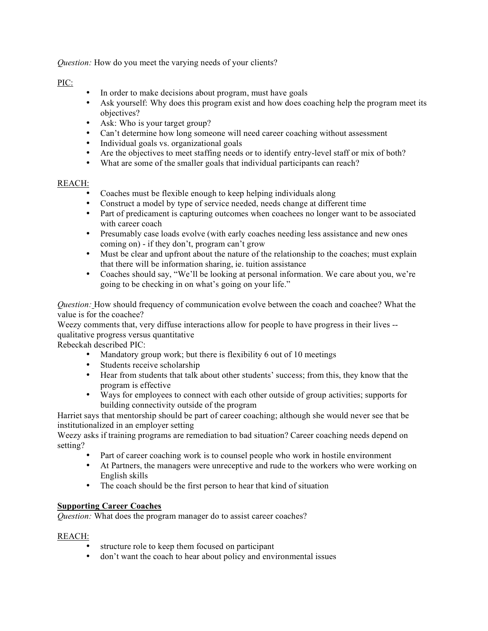*Question:* How do you meet the varying needs of your clients?

# PIC:

- In order to make decisions about program, must have goals
- Ask yourself: Why does this program exist and how does coaching help the program meet its objectives?
- Ask: Who is your target group?
- Can't determine how long someone will need career coaching without assessment
- Individual goals vs. organizational goals
- Are the objectives to meet staffing needs or to identify entry-level staff or mix of both?
- What are some of the smaller goals that individual participants can reach?

## REACH:

- Coaches must be flexible enough to keep helping individuals along
- Construct a model by type of service needed, needs change at different time
- Part of predicament is capturing outcomes when coachees no longer want to be associated with career coach
- Presumably case loads evolve (with early coaches needing less assistance and new ones coming on) - if they don't, program can't grow
- Must be clear and upfront about the nature of the relationship to the coaches; must explain that there will be information sharing, ie. tuition assistance
- Coaches should say, "We'll be looking at personal information. We care about you, we're going to be checking in on what's going on your life."

*Question:* How should frequency of communication evolve between the coach and coachee? What the value is for the coachee?

Weezy comments that, very diffuse interactions allow for people to have progress in their lives - qualitative progress versus quantitative

Rebeckah described PIC:

- Mandatory group work; but there is flexibility 6 out of 10 meetings
- Students receive scholarship
- Hear from students that talk about other students' success; from this, they know that the program is effective
- Ways for employees to connect with each other outside of group activities; supports for building connectivity outside of the program

Harriet says that mentorship should be part of career coaching; although she would never see that be institutionalized in an employer setting

Weezy asks if training programs are remediation to bad situation? Career coaching needs depend on setting?

- Part of career coaching work is to counsel people who work in hostile environment
- At Partners, the managers were unreceptive and rude to the workers who were working on English skills
- The coach should be the first person to hear that kind of situation

#### **Supporting Career Coaches**

*Question:* What does the program manager do to assist career coaches?

#### REACH:

- structure role to keep them focused on participant
- don't want the coach to hear about policy and environmental issues